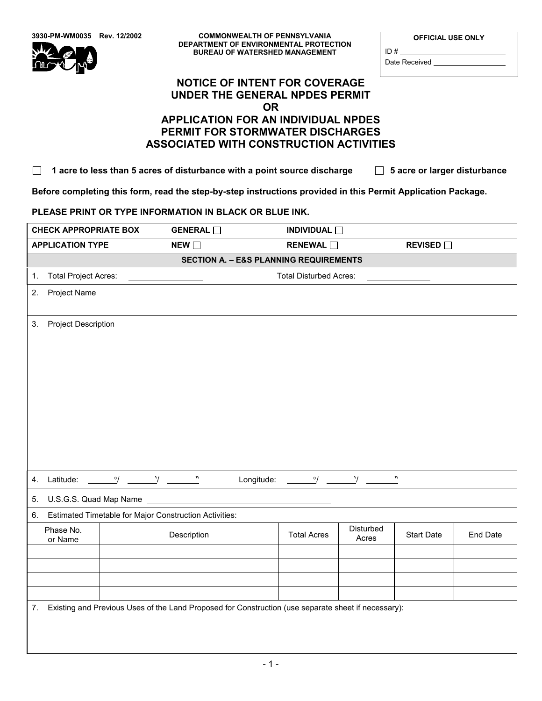

**3930-PM-WM0035 Rev. 12/2002 COMMONWEALTH OF PENNSYLVANIA DEPARTMENT OF ENVIRONMENTAL PROTECTION BUREAU OF WATERSHED MANAGEMENT** 

**OFFICIAL USE ONLY** 

ID #

Date Received

# **NOTICE OF INTENT FOR COVERAGE UNDER THE GENERAL NPDES PERMIT OR APPLICATION FOR AN INDIVIDUAL NPDES PERMIT FOR STORMWATER DISCHARGES**

□ 1 acre to less than 5 acres of disturbance with a point source discharge **□ 5 acre or larger disturbance** 

**ASSOCIATED WITH CONSTRUCTION ACTIVITIES** 

**Before completing this form, read the step-by-step instructions provided in this Permit Application Package.** 

**PLEASE PRINT OR TYPE INFORMATION IN BLACK OR BLUE INK.** 

| <b>CHECK APPROPRIATE BOX</b> |                                                   |                        | GENERAL <sup>[1]</sup>                                                                              |            | INDIVIDUAL O                  |                    |                   |          |
|------------------------------|---------------------------------------------------|------------------------|-----------------------------------------------------------------------------------------------------|------------|-------------------------------|--------------------|-------------------|----------|
|                              | <b>APPLICATION TYPE</b>                           |                        | $NEW \Box$                                                                                          |            | RENEWAL <sup>[1]</sup>        |                    | <b>REVISED</b> □  |          |
|                              | <b>SECTION A. - E&amp;S PLANNING REQUIREMENTS</b> |                        |                                                                                                     |            |                               |                    |                   |          |
| 1.                           | <b>Total Project Acres:</b>                       |                        |                                                                                                     |            | <b>Total Disturbed Acres:</b> |                    |                   |          |
| 2.                           | Project Name                                      |                        |                                                                                                     |            |                               |                    |                   |          |
| 3.                           | Project Description                               |                        |                                                                                                     |            |                               |                    |                   |          |
| 4.                           | Latitude:                                         | $\circ$ /<br>$\gamma$  | $\boldsymbol{n}$                                                                                    | Longitude: | $\circ$                       | Y                  | W                 |          |
| 5.                           |                                                   | U.S.G.S. Quad Map Name |                                                                                                     |            |                               |                    |                   |          |
| 6.                           |                                                   |                        | Estimated Timetable for Major Construction Activities:                                              |            |                               |                    |                   |          |
|                              | Phase No.<br>or Name                              |                        | Description                                                                                         |            | <b>Total Acres</b>            | Disturbed<br>Acres | <b>Start Date</b> | End Date |
|                              |                                                   |                        |                                                                                                     |            |                               |                    |                   |          |
|                              |                                                   |                        |                                                                                                     |            |                               |                    |                   |          |
|                              |                                                   |                        |                                                                                                     |            |                               |                    |                   |          |
|                              |                                                   |                        |                                                                                                     |            |                               |                    |                   |          |
| 7.                           |                                                   |                        | Existing and Previous Uses of the Land Proposed for Construction (use separate sheet if necessary): |            |                               |                    |                   |          |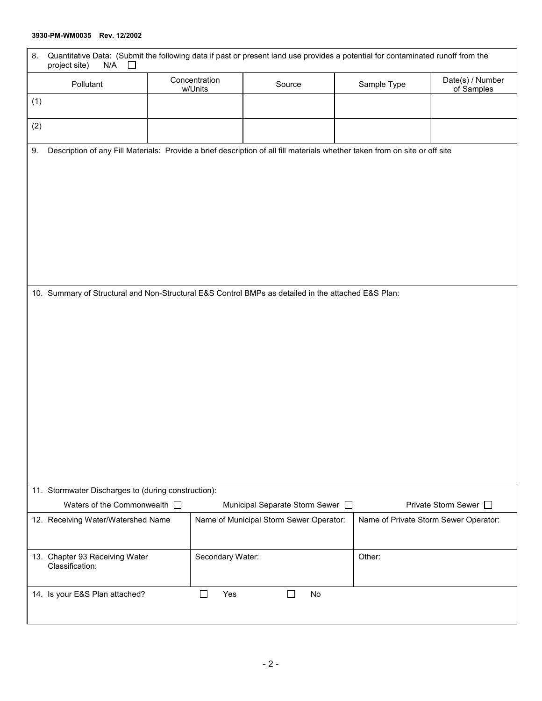### **3930-PM-WM0035 Rev. 12/2002**

| 8.  | Quantitative Data: (Submit the following data if past or present land use provides a potential for contaminated runoff from the<br>project site)<br>N/A |                          |                                         |    |             |                                       |
|-----|---------------------------------------------------------------------------------------------------------------------------------------------------------|--------------------------|-----------------------------------------|----|-------------|---------------------------------------|
|     | Pollutant                                                                                                                                               | Concentration<br>w/Units | Source                                  |    | Sample Type | Date(s) / Number<br>of Samples        |
| (1) |                                                                                                                                                         |                          |                                         |    |             |                                       |
| (2) |                                                                                                                                                         |                          |                                         |    |             |                                       |
| 9.  | Description of any Fill Materials: Provide a brief description of all fill materials whether taken from on site or off site                             |                          |                                         |    |             |                                       |
|     |                                                                                                                                                         |                          |                                         |    |             |                                       |
|     |                                                                                                                                                         |                          |                                         |    |             |                                       |
|     |                                                                                                                                                         |                          |                                         |    |             |                                       |
|     |                                                                                                                                                         |                          |                                         |    |             |                                       |
|     |                                                                                                                                                         |                          |                                         |    |             |                                       |
|     | 10. Summary of Structural and Non-Structural E&S Control BMPs as detailed in the attached E&S Plan:                                                     |                          |                                         |    |             |                                       |
|     |                                                                                                                                                         |                          |                                         |    |             |                                       |
|     |                                                                                                                                                         |                          |                                         |    |             |                                       |
|     |                                                                                                                                                         |                          |                                         |    |             |                                       |
|     |                                                                                                                                                         |                          |                                         |    |             |                                       |
|     |                                                                                                                                                         |                          |                                         |    |             |                                       |
|     |                                                                                                                                                         |                          |                                         |    |             |                                       |
|     |                                                                                                                                                         |                          |                                         |    |             |                                       |
|     |                                                                                                                                                         |                          |                                         |    |             |                                       |
|     | 11. Stormwater Discharges to (during construction):                                                                                                     |                          |                                         |    |             |                                       |
|     | Waters of the Commonwealth $\square$                                                                                                                    |                          | Municipal Separate Storm Sewer □        |    |             | Private Storm Sewer □                 |
|     | 12. Receiving Water/Watershed Name                                                                                                                      |                          | Name of Municipal Storm Sewer Operator: |    |             | Name of Private Storm Sewer Operator: |
|     | 13. Chapter 93 Receiving Water<br>Classification:                                                                                                       | Secondary Water:         |                                         |    | Other:      |                                       |
|     | 14. Is your E&S Plan attached?                                                                                                                          | Yes                      | $\mathcal{L}_{\mathcal{A}}$             | No |             |                                       |
|     |                                                                                                                                                         |                          |                                         |    |             |                                       |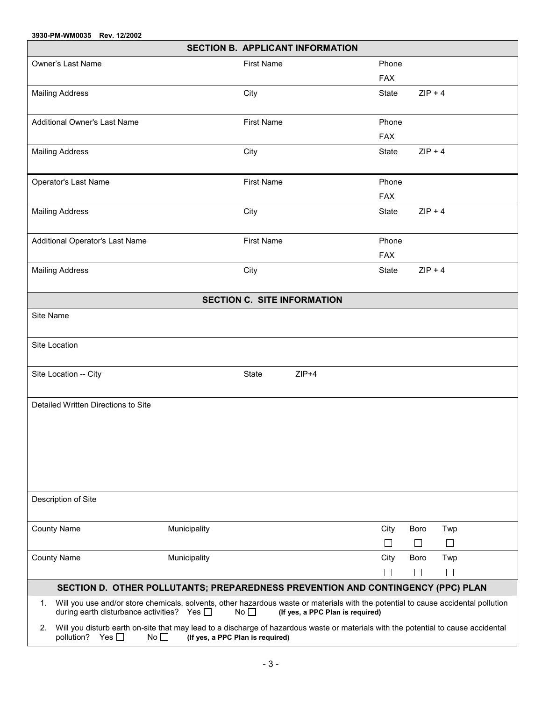| 3930-PM-WM0035<br>Rev. 12/2002                                                                                                                                                         |                                  |                   |                                         |              |             |        |  |
|----------------------------------------------------------------------------------------------------------------------------------------------------------------------------------------|----------------------------------|-------------------|-----------------------------------------|--------------|-------------|--------|--|
|                                                                                                                                                                                        |                                  |                   | <b>SECTION B. APPLICANT INFORMATION</b> |              |             |        |  |
| Owner's Last Name                                                                                                                                                                      |                                  | <b>First Name</b> |                                         | Phone        |             |        |  |
|                                                                                                                                                                                        |                                  |                   |                                         | <b>FAX</b>   |             |        |  |
| <b>Mailing Address</b>                                                                                                                                                                 |                                  | City              |                                         | State        | $ZIP + 4$   |        |  |
| Additional Owner's Last Name                                                                                                                                                           |                                  | <b>First Name</b> |                                         | Phone        |             |        |  |
|                                                                                                                                                                                        |                                  |                   |                                         | <b>FAX</b>   |             |        |  |
| <b>Mailing Address</b>                                                                                                                                                                 |                                  | City              |                                         | State        | $ZIP + 4$   |        |  |
| Operator's Last Name                                                                                                                                                                   |                                  | <b>First Name</b> |                                         | Phone        |             |        |  |
|                                                                                                                                                                                        |                                  |                   |                                         | <b>FAX</b>   |             |        |  |
| <b>Mailing Address</b>                                                                                                                                                                 |                                  | City              |                                         | State        | $ZIP + 4$   |        |  |
| Additional Operator's Last Name                                                                                                                                                        |                                  | <b>First Name</b> |                                         | Phone        |             |        |  |
|                                                                                                                                                                                        |                                  |                   |                                         | <b>FAX</b>   |             |        |  |
| <b>Mailing Address</b>                                                                                                                                                                 |                                  | City              |                                         | State        | $ZIP + 4$   |        |  |
|                                                                                                                                                                                        |                                  |                   | <b>SECTION C. SITE INFORMATION</b>      |              |             |        |  |
| Site Name                                                                                                                                                                              |                                  |                   |                                         |              |             |        |  |
| Site Location                                                                                                                                                                          |                                  |                   |                                         |              |             |        |  |
| Site Location -- City                                                                                                                                                                  |                                  | State             | $ZIP+4$                                 |              |             |        |  |
| Detailed Written Directions to Site                                                                                                                                                    |                                  |                   |                                         |              |             |        |  |
|                                                                                                                                                                                        |                                  |                   |                                         |              |             |        |  |
|                                                                                                                                                                                        |                                  |                   |                                         |              |             |        |  |
|                                                                                                                                                                                        |                                  |                   |                                         |              |             |        |  |
|                                                                                                                                                                                        |                                  |                   |                                         |              |             |        |  |
| Description of Site                                                                                                                                                                    |                                  |                   |                                         |              |             |        |  |
| <b>County Name</b>                                                                                                                                                                     | Municipality                     |                   |                                         | City         | <b>Boro</b> | Twp    |  |
|                                                                                                                                                                                        |                                  |                   |                                         | $\Box$       | $\Box$      | $\Box$ |  |
| <b>County Name</b>                                                                                                                                                                     | Municipality                     |                   |                                         | City         | <b>Boro</b> | Twp    |  |
|                                                                                                                                                                                        |                                  |                   |                                         | $\mathbf{I}$ | $\Box$      | П      |  |
| SECTION D. OTHER POLLUTANTS; PREPAREDNESS PREVENTION AND CONTINGENCY (PPC) PLAN                                                                                                        |                                  |                   |                                         |              |             |        |  |
| Will you use and/or store chemicals, solvents, other hazardous waste or materials with the potential to cause accidental pollution<br>1.<br>during earth disturbance activities? Yes □ |                                  | No                | (If yes, a PPC Plan is required)        |              |             |        |  |
| Will you disturb earth on-site that may lead to a discharge of hazardous waste or materials with the potential to cause accidental<br>2.<br>pollution? Yes $\square$<br>No $\Box$      | (If yes, a PPC Plan is required) |                   |                                         |              |             |        |  |
|                                                                                                                                                                                        |                                  |                   |                                         |              |             |        |  |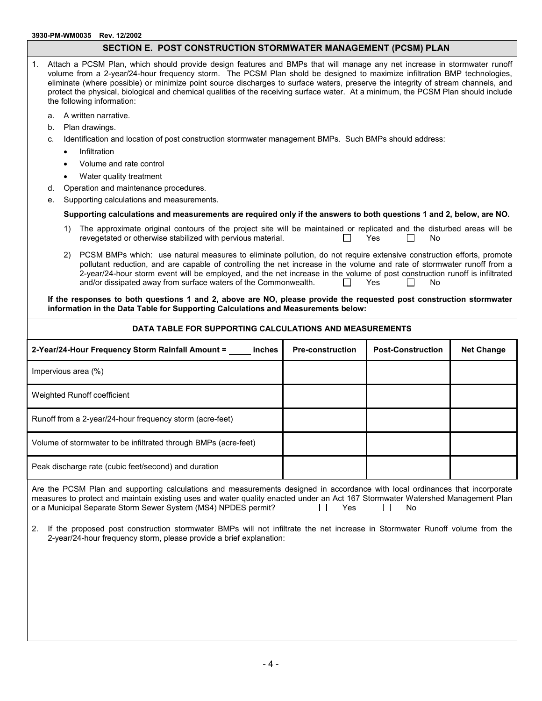### **3930-PM-WM0035 Rev. 12/2002**

# **SECTION E. POST CONSTRUCTION STORMWATER MANAGEMENT (PCSM) PLAN**

| 1. | Attach a PCSM Plan, which should provide design features and BMPs that will manage any net increase in stormwater runoff<br>volume from a 2-year/24-hour frequency storm. The PCSM Plan shold be designed to maximize infiltration BMP technologies,<br>eliminate (where possible) or minimize point source discharges to surface waters, preserve the integrity of stream channels, and<br>protect the physical, biological and chemical qualities of the receiving surface water. At a minimum, the PCSM Plan should include                                                                                                                            |    |                                                                                                                                                                                                                                                                                                                                                                                                                                                                                                                 |                         |                          |                   |
|----|-----------------------------------------------------------------------------------------------------------------------------------------------------------------------------------------------------------------------------------------------------------------------------------------------------------------------------------------------------------------------------------------------------------------------------------------------------------------------------------------------------------------------------------------------------------------------------------------------------------------------------------------------------------|----|-----------------------------------------------------------------------------------------------------------------------------------------------------------------------------------------------------------------------------------------------------------------------------------------------------------------------------------------------------------------------------------------------------------------------------------------------------------------------------------------------------------------|-------------------------|--------------------------|-------------------|
|    | the following information:<br>A written narrative.<br>a.<br>b.<br>Plan drawings.<br>Identification and location of post construction stormwater management BMPs. Such BMPs should address:<br>c.<br>Infiltration<br>$\bullet$<br>Volume and rate control<br>$\bullet$<br>Water quality treatment<br>Operation and maintenance procedures.<br>d.<br>Supporting calculations and measurements.<br>е.<br>Supporting calculations and measurements are required only if the answers to both questions 1 and 2, below, are NO.<br>The approximate original contours of the project site will be maintained or replicated and the disturbed areas will be<br>1) |    |                                                                                                                                                                                                                                                                                                                                                                                                                                                                                                                 |                         |                          |                   |
|    |                                                                                                                                                                                                                                                                                                                                                                                                                                                                                                                                                                                                                                                           | 2) | revegetated or otherwise stabilized with pervious material.<br>PCSM BMPs which: use natural measures to eliminate pollution, do not require extensive construction efforts, promote<br>pollutant reduction, and are capable of controlling the net increase in the volume and rate of stormwater runoff from a<br>2-year/24-hour storm event will be employed, and the net increase in the volume of post construction runoff is infiltrated<br>and/or dissipated away from surface waters of the Commonwealth. |                         | Yes<br>No<br>Yes<br>No   |                   |
|    |                                                                                                                                                                                                                                                                                                                                                                                                                                                                                                                                                                                                                                                           |    | If the responses to both questions 1 and 2, above are NO, please provide the requested post construction stormwater<br>information in the Data Table for Supporting Calculations and Measurements below:                                                                                                                                                                                                                                                                                                        |                         |                          |                   |
|    |                                                                                                                                                                                                                                                                                                                                                                                                                                                                                                                                                                                                                                                           |    | DATA TABLE FOR SUPPORTING CALCULATIONS AND MEASUREMENTS                                                                                                                                                                                                                                                                                                                                                                                                                                                         |                         |                          |                   |
|    |                                                                                                                                                                                                                                                                                                                                                                                                                                                                                                                                                                                                                                                           |    |                                                                                                                                                                                                                                                                                                                                                                                                                                                                                                                 |                         |                          |                   |
|    |                                                                                                                                                                                                                                                                                                                                                                                                                                                                                                                                                                                                                                                           |    | 2-Year/24-Hour Frequency Storm Rainfall Amount = _____ inches                                                                                                                                                                                                                                                                                                                                                                                                                                                   | <b>Pre-construction</b> | <b>Post-Construction</b> | <b>Net Change</b> |
|    |                                                                                                                                                                                                                                                                                                                                                                                                                                                                                                                                                                                                                                                           |    | Impervious area (%)                                                                                                                                                                                                                                                                                                                                                                                                                                                                                             |                         |                          |                   |
|    |                                                                                                                                                                                                                                                                                                                                                                                                                                                                                                                                                                                                                                                           |    | Weighted Runoff coefficient                                                                                                                                                                                                                                                                                                                                                                                                                                                                                     |                         |                          |                   |
|    |                                                                                                                                                                                                                                                                                                                                                                                                                                                                                                                                                                                                                                                           |    | Runoff from a 2-year/24-hour frequency storm (acre-feet)                                                                                                                                                                                                                                                                                                                                                                                                                                                        |                         |                          |                   |
|    |                                                                                                                                                                                                                                                                                                                                                                                                                                                                                                                                                                                                                                                           |    | Volume of stormwater to be infiltrated through BMPs (acre-feet)                                                                                                                                                                                                                                                                                                                                                                                                                                                 |                         |                          |                   |
|    |                                                                                                                                                                                                                                                                                                                                                                                                                                                                                                                                                                                                                                                           |    | Peak discharge rate (cubic feet/second) and duration                                                                                                                                                                                                                                                                                                                                                                                                                                                            |                         |                          |                   |
|    |                                                                                                                                                                                                                                                                                                                                                                                                                                                                                                                                                                                                                                                           |    | Are the PCSM Plan and supporting calculations and measurements designed in accordance with local ordinances that incorporate<br>measures to protect and maintain existing uses and water quality enacted under an Act 167 Stormwater Watershed Management Plan<br>or a Municipal Separate Storm Sewer System (MS4) NPDES permit?                                                                                                                                                                                | Yes                     | No                       |                   |
| 2. |                                                                                                                                                                                                                                                                                                                                                                                                                                                                                                                                                                                                                                                           |    | If the proposed post construction stormwater BMPs will not infiltrate the net increase in Stormwater Runoff volume from the<br>2-year/24-hour frequency storm, please provide a brief explanation:                                                                                                                                                                                                                                                                                                              |                         |                          |                   |
|    |                                                                                                                                                                                                                                                                                                                                                                                                                                                                                                                                                                                                                                                           |    |                                                                                                                                                                                                                                                                                                                                                                                                                                                                                                                 |                         |                          |                   |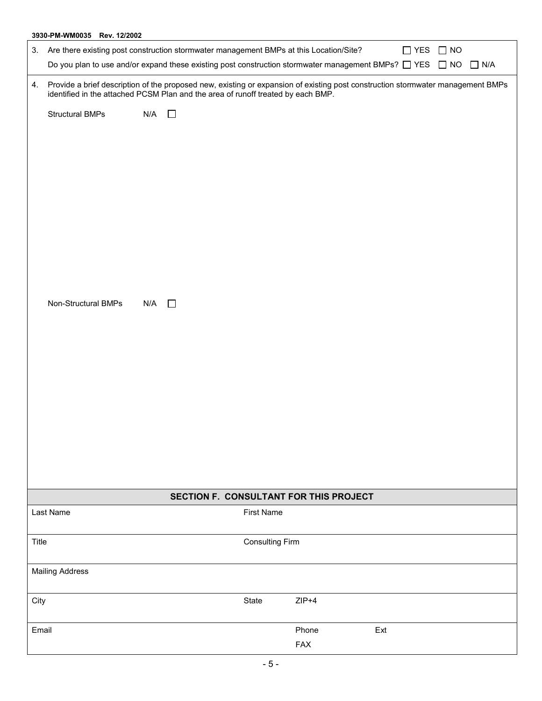|       | 3930-PM-WM0035 Rev. 12/2002                                                                                                                                                                                         |                                        |                        |         |                      |  |  |
|-------|---------------------------------------------------------------------------------------------------------------------------------------------------------------------------------------------------------------------|----------------------------------------|------------------------|---------|----------------------|--|--|
|       | 3. Are there existing post construction stormwater management BMPs at this Location/Site?                                                                                                                           |                                        |                        |         | $\Box$ YES $\Box$ NO |  |  |
|       | Do you plan to use and/or expand these existing post construction stormwater management BMPs? $\Box$ YES $\Box$ NO $\Box$ N/A                                                                                       |                                        |                        |         |                      |  |  |
| 4.    | Provide a brief description of the proposed new, existing or expansion of existing post construction stormwater management BMPs<br>identified in the attached PCSM Plan and the area of runoff treated by each BMP. |                                        |                        |         |                      |  |  |
|       | <b>Structural BMPs</b><br>N/A                                                                                                                                                                                       | $\Box$                                 |                        |         |                      |  |  |
|       |                                                                                                                                                                                                                     |                                        |                        |         |                      |  |  |
|       |                                                                                                                                                                                                                     |                                        |                        |         |                      |  |  |
|       |                                                                                                                                                                                                                     |                                        |                        |         |                      |  |  |
|       |                                                                                                                                                                                                                     |                                        |                        |         |                      |  |  |
|       |                                                                                                                                                                                                                     |                                        |                        |         |                      |  |  |
|       |                                                                                                                                                                                                                     |                                        |                        |         |                      |  |  |
|       |                                                                                                                                                                                                                     |                                        |                        |         |                      |  |  |
|       | Non-Structural BMPs<br>N/A                                                                                                                                                                                          | $\Box$                                 |                        |         |                      |  |  |
|       |                                                                                                                                                                                                                     |                                        |                        |         |                      |  |  |
|       |                                                                                                                                                                                                                     |                                        |                        |         |                      |  |  |
|       |                                                                                                                                                                                                                     |                                        |                        |         |                      |  |  |
|       |                                                                                                                                                                                                                     |                                        |                        |         |                      |  |  |
|       |                                                                                                                                                                                                                     |                                        |                        |         |                      |  |  |
|       |                                                                                                                                                                                                                     |                                        |                        |         |                      |  |  |
|       |                                                                                                                                                                                                                     |                                        |                        |         |                      |  |  |
|       |                                                                                                                                                                                                                     | SECTION F. CONSULTANT FOR THIS PROJECT |                        |         |                      |  |  |
|       | Last Name                                                                                                                                                                                                           |                                        | <b>First Name</b>      |         |                      |  |  |
| Title |                                                                                                                                                                                                                     |                                        | <b>Consulting Firm</b> |         |                      |  |  |
|       | <b>Mailing Address</b>                                                                                                                                                                                              |                                        |                        |         |                      |  |  |
| City  |                                                                                                                                                                                                                     |                                        | State                  | $ZIP+4$ |                      |  |  |
|       | Email                                                                                                                                                                                                               |                                        |                        | Phone   | Ext                  |  |  |
|       |                                                                                                                                                                                                                     |                                        |                        | FAX     |                      |  |  |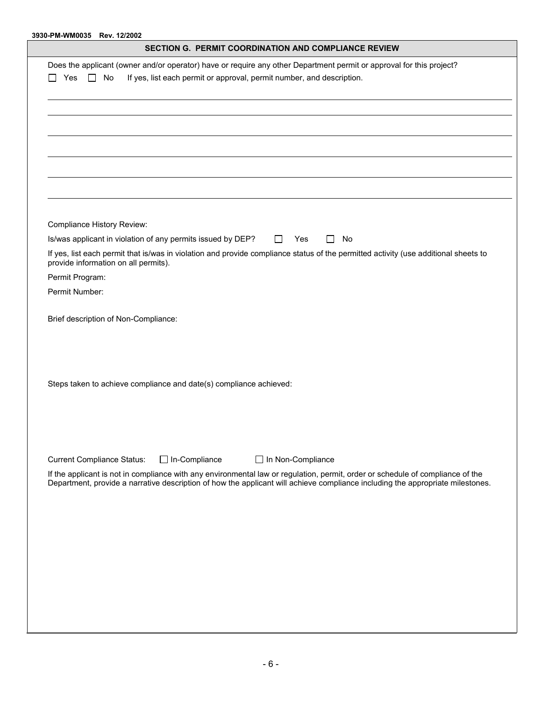| 3930-PM-WM0035 Rev. 12/2002                                                                                                                                                                                                                                      |
|------------------------------------------------------------------------------------------------------------------------------------------------------------------------------------------------------------------------------------------------------------------|
| SECTION G. PERMIT COORDINATION AND COMPLIANCE REVIEW                                                                                                                                                                                                             |
| Does the applicant (owner and/or operator) have or require any other Department permit or approval for this project?<br>If yes, list each permit or approval, permit number, and description.<br>No<br>Yes<br>$\blacksquare$<br>$\perp$                          |
|                                                                                                                                                                                                                                                                  |
|                                                                                                                                                                                                                                                                  |
| Compliance History Review:                                                                                                                                                                                                                                       |
| Is/was applicant in violation of any permits issued by DEP?<br><b>No</b><br>Yes                                                                                                                                                                                  |
| If yes, list each permit that is/was in violation and provide compliance status of the permitted activity (use additional sheets to<br>provide information on all permits).                                                                                      |
| Permit Program:                                                                                                                                                                                                                                                  |
| Permit Number:                                                                                                                                                                                                                                                   |
| Brief description of Non-Compliance:                                                                                                                                                                                                                             |
| Steps taken to achieve compliance and date(s) compliance achieved:                                                                                                                                                                                               |
| <b>Current Compliance Status:</b><br>$\Box$ In-Compliance<br>□ In Non-Compliance                                                                                                                                                                                 |
| If the applicant is not in compliance with any environmental law or regulation, permit, order or schedule of compliance of the<br>Department, provide a narrative description of how the applicant will achieve compliance including the appropriate milestones. |
|                                                                                                                                                                                                                                                                  |
|                                                                                                                                                                                                                                                                  |
|                                                                                                                                                                                                                                                                  |